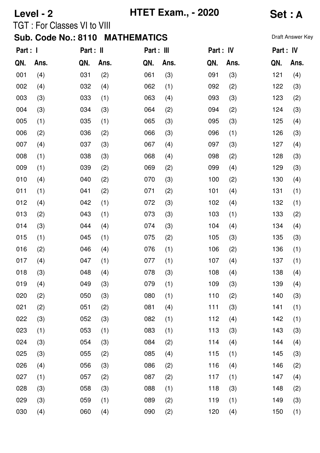# **Level - 2 HTET Exam., - 2020 Set : A**

## TGT : For Classes VI to VIII

| Part : I |      | Part : II |      | Part : III |      | Part : IV |      | Part : IV |      |
|----------|------|-----------|------|------------|------|-----------|------|-----------|------|
| QN.      | Ans. | QN.       | Ans. | QN.        | Ans. | QN.       | Ans. | QN.       | Ans. |
| 001      | (4)  | 031       | (2)  | 061        | (3)  | 091       | (3)  | 121       | (4)  |
| 002      | (4)  | 032       | (4)  | 062        | (1)  | 092       | (2)  | 122       | (3)  |
| 003      | (3)  | 033       | (1)  | 063        | (4)  | 093       | (3)  | 123       | (2)  |
| 004      | (3)  | 034       | (3)  | 064        | (2)  | 094       | (2)  | 124       | (3)  |
| 005      | (1)  | 035       | (1)  | 065        | (3)  | 095       | (3)  | 125       | (4)  |
| 006      | (2)  | 036       | (2)  | 066        | (3)  | 096       | (1)  | 126       | (3)  |
| 007      | (4)  | 037       | (3)  | 067        | (4)  | 097       | (3)  | 127       | (4)  |
| 008      | (1)  | 038       | (3)  | 068        | (4)  | 098       | (2)  | 128       | (3)  |
| 009      | (1)  | 039       | (2)  | 069        | (2)  | 099       | (4)  | 129       | (3)  |
| 010      | (4)  | 040       | (2)  | 070        | (3)  | 100       | (2)  | 130       | (4)  |
| 011      | (1)  | 041       | (2)  | 071        | (2)  | 101       | (4)  | 131       | (1)  |
| 012      | (4)  | 042       | (1)  | 072        | (3)  | 102       | (4)  | 132       | (1)  |
| 013      | (2)  | 043       | (1)  | 073        | (3)  | 103       | (1)  | 133       | (2)  |
| 014      | (3)  | 044       | (4)  | 074        | (3)  | 104       | (4)  | 134       | (4)  |
| 015      | (1)  | 045       | (1)  | 075        | (2)  | 105       | (3)  | 135       | (3)  |
| 016      | (2)  | 046       | (4)  | 076        | (1)  | 106       | (2)  | 136       | (1)  |
| 017      | (4)  | 047       | (1)  | 077        | (1)  | 107       | (4)  | 137       | (1)  |
| 018      | (3)  | 048       | (4)  | 078        | (3)  | 108       | (4)  | 138       | (4)  |
| 019      | (4)  | 049       | (3)  | 079        | (1)  | 109       | (3)  | 139       | (4)  |
| 020      | (2)  | 050       | (3)  | 080        | (1)  | 110       | (2)  | 140       | (3)  |
| 021      | (2)  | 051       | (2)  | 081        | (4)  | 111       | (3)  | 141       | (1)  |
| 022      | (3)  | 052       | (3)  | 082        | (1)  | 112       | (4)  | 142       | (1)  |
| 023      | (1)  | 053       | (1)  | 083        | (1)  | 113       | (3)  | 143       | (3)  |
| 024      | (3)  | 054       | (3)  | 084        | (2)  | 114       | (4)  | 144       | (4)  |
| 025      | (3)  | 055       | (2)  | 085        | (4)  | 115       | (1)  | 145       | (3)  |
| 026      | (4)  | 056       | (3)  | 086        | (2)  | 116       | (4)  | 146       | (2)  |
| 027      | (1)  | 057       | (2)  | 087        | (2)  | 117       | (1)  | 147       | (4)  |
| 028      | (3)  | 058       | (3)  | 088        | (1)  | 118       | (3)  | 148       | (2)  |
| 029      | (3)  | 059       | (1)  | 089        | (2)  | 119       | (1)  | 149       | (3)  |
| 030      | (4)  | 060       | (4)  | 090        | (2)  | 120       | (4)  | 150       | (1)  |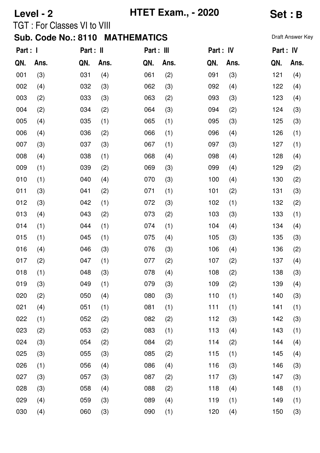# **Level - 2 HTET Exam., - 2020 Set : B**

## TGT : For Classes VI to VIII

| Part : I |      | Part : II |      | Part : III |      | Part : IV |      | Part : IV |      |
|----------|------|-----------|------|------------|------|-----------|------|-----------|------|
| QN.      | Ans. | QN.       | Ans. | QN.        | Ans. | QN.       | Ans. | QN.       | Ans. |
| 001      | (3)  | 031       | (4)  | 061        | (2)  | 091       | (3)  | 121       | (4)  |
| 002      | (4)  | 032       | (3)  | 062        | (3)  | 092       | (4)  | 122       | (4)  |
| 003      | (2)  | 033       | (3)  | 063        | (2)  | 093       | (3)  | 123       | (4)  |
| 004      | (2)  | 034       | (2)  | 064        | (3)  | 094       | (2)  | 124       | (3)  |
| 005      | (4)  | 035       | (1)  | 065        | (1)  | 095       | (3)  | 125       | (3)  |
| 006      | (4)  | 036       | (2)  | 066        | (1)  | 096       | (4)  | 126       | (1)  |
| 007      | (3)  | 037       | (3)  | 067        | (1)  | 097       | (3)  | 127       | (1)  |
| 008      | (4)  | 038       | (1)  | 068        | (4)  | 098       | (4)  | 128       | (4)  |
| 009      | (1)  | 039       | (2)  | 069        | (3)  | 099       | (4)  | 129       | (2)  |
| 010      | (1)  | 040       | (4)  | 070        | (3)  | 100       | (4)  | 130       | (2)  |
| 011      | (3)  | 041       | (2)  | 071        | (1)  | 101       | (2)  | 131       | (3)  |
| 012      | (3)  | 042       | (1)  | 072        | (3)  | 102       | (1)  | 132       | (2)  |
| 013      | (4)  | 043       | (2)  | 073        | (2)  | 103       | (3)  | 133       | (1)  |
| 014      | (1)  | 044       | (1)  | 074        | (1)  | 104       | (4)  | 134       | (4)  |
| 015      | (1)  | 045       | (1)  | 075        | (4)  | 105       | (3)  | 135       | (3)  |
| 016      | (4)  | 046       | (3)  | 076        | (3)  | 106       | (4)  | 136       | (2)  |
| 017      | (2)  | 047       | (1)  | 077        | (2)  | 107       | (2)  | 137       | (4)  |
| 018      | (1)  | 048       | (3)  | 078        | (4)  | 108       | (2)  | 138       | (3)  |
| 019      | (3)  | 049       | (1)  | 079        | (3)  | 109       | (2)  | 139       | (4)  |
| 020      | (2)  | 050       | (4)  | 080        | (3)  | 110       | (1)  | 140       | (3)  |
| 021      | (4)  | 051       | (1)  | 081        | (1)  | 111       | (1)  | 141       | (1)  |
| 022      | (1)  | 052       | (2)  | 082        | (2)  | 112       | (3)  | 142       | (3)  |
| 023      | (2)  | 053       | (2)  | 083        | (1)  | 113       | (4)  | 143       | (1)  |
| 024      | (3)  | 054       | (2)  | 084        | (2)  | 114       | (2)  | 144       | (4)  |
| 025      | (3)  | 055       | (3)  | 085        | (2)  | 115       | (1)  | 145       | (4)  |
| 026      | (1)  | 056       | (4)  | 086        | (4)  | 116       | (3)  | 146       | (3)  |
| 027      | (3)  | 057       | (3)  | 087        | (2)  | 117       | (3)  | 147       | (3)  |
| 028      | (3)  | 058       | (4)  | 088        | (2)  | 118       | (4)  | 148       | (1)  |
| 029      | (4)  | 059       | (3)  | 089        | (4)  | 119       | (1)  | 149       | (1)  |
| 030      | (4)  | 060       | (3)  | 090        | (1)  | 120       | (4)  | 150       | (3)  |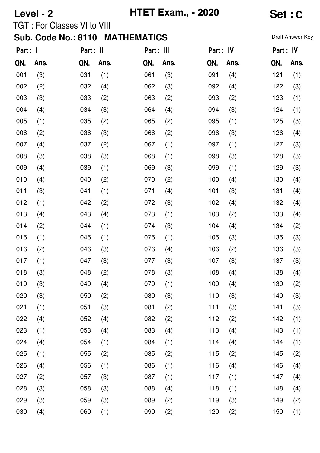## **Level - 2 HTET Exam., - 2020 Set : C**

TGT : For Classes VI to VIII

| Part : I |      | Part : II |      | Part : III |      | Part : IV |      | Part : IV |      |
|----------|------|-----------|------|------------|------|-----------|------|-----------|------|
| QN.      | Ans. | QN.       | Ans. | QN.        | Ans. | QN.       | Ans. | QN.       | Ans. |
| 001      | (3)  | 031       | (1)  | 061        | (3)  | 091       | (4)  | 121       | (1)  |
| 002      | (2)  | 032       | (4)  | 062        | (3)  | 092       | (4)  | 122       | (3)  |
| 003      | (3)  | 033       | (2)  | 063        | (2)  | 093       | (2)  | 123       | (1)  |
| 004      | (4)  | 034       | (3)  | 064        | (4)  | 094       | (3)  | 124       | (1)  |
| 005      | (1)  | 035       | (2)  | 065        | (2)  | 095       | (1)  | 125       | (3)  |
| 006      | (2)  | 036       | (3)  | 066        | (2)  | 096       | (3)  | 126       | (4)  |
| 007      | (4)  | 037       | (2)  | 067        | (1)  | 097       | (1)  | 127       | (3)  |
| 008      | (3)  | 038       | (3)  | 068        | (1)  | 098       | (3)  | 128       | (3)  |
| 009      | (4)  | 039       | (1)  | 069        | (3)  | 099       | (1)  | 129       | (3)  |
| 010      | (4)  | 040       | (2)  | 070        | (2)  | 100       | (4)  | 130       | (4)  |
| 011      | (3)  | 041       | (1)  | 071        | (4)  | 101       | (3)  | 131       | (4)  |
| 012      | (1)  | 042       | (2)  | 072        | (3)  | 102       | (4)  | 132       | (4)  |
| 013      | (4)  | 043       | (4)  | 073        | (1)  | 103       | (2)  | 133       | (4)  |
| 014      | (2)  | 044       | (1)  | 074        | (3)  | 104       | (4)  | 134       | (2)  |
| 015      | (1)  | 045       | (1)  | 075        | (1)  | 105       | (3)  | 135       | (3)  |
| 016      | (2)  | 046       | (3)  | 076        | (4)  | 106       | (2)  | 136       | (3)  |
| 017      | (1)  | 047       | (3)  | 077        | (3)  | 107       | (3)  | 137       | (3)  |
| 018      | (3)  | 048       | (2)  | 078        | (3)  | 108       | (4)  | 138       | (4)  |
| 019      | (3)  | 049       | (4)  | 079        | (1)  | 109       | (4)  | 139       | (2)  |
| 020      | (3)  | 050       | (2)  | 080        | (3)  | 110       | (3)  | 140       | (3)  |
| 021      | (1)  | 051       | (3)  | 081        | (2)  | 111       | (3)  | 141       | (3)  |
| 022      | (4)  | 052       | (4)  | 082        | (2)  | 112       | (2)  | 142       | (1)  |
| 023      | (1)  | 053       | (4)  | 083        | (4)  | 113       | (4)  | 143       | (1)  |
| 024      | (4)  | 054       | (1)  | 084        | (1)  | 114       | (4)  | 144       | (1)  |
| 025      | (1)  | 055       | (2)  | 085        | (2)  | 115       | (2)  | 145       | (2)  |
| 026      | (4)  | 056       | (1)  | 086        | (1)  | 116       | (4)  | 146       | (4)  |
| 027      | (2)  | 057       | (3)  | 087        | (1)  | 117       | (1)  | 147       | (4)  |
| 028      | (3)  | 058       | (3)  | 088        | (4)  | 118       | (1)  | 148       | (4)  |
| 029      | (3)  | 059       | (3)  | 089        | (2)  | 119       | (3)  | 149       | (2)  |
| 030      | (4)  | 060       | (1)  | 090        | (2)  | 120       | (2)  | 150       | (1)  |